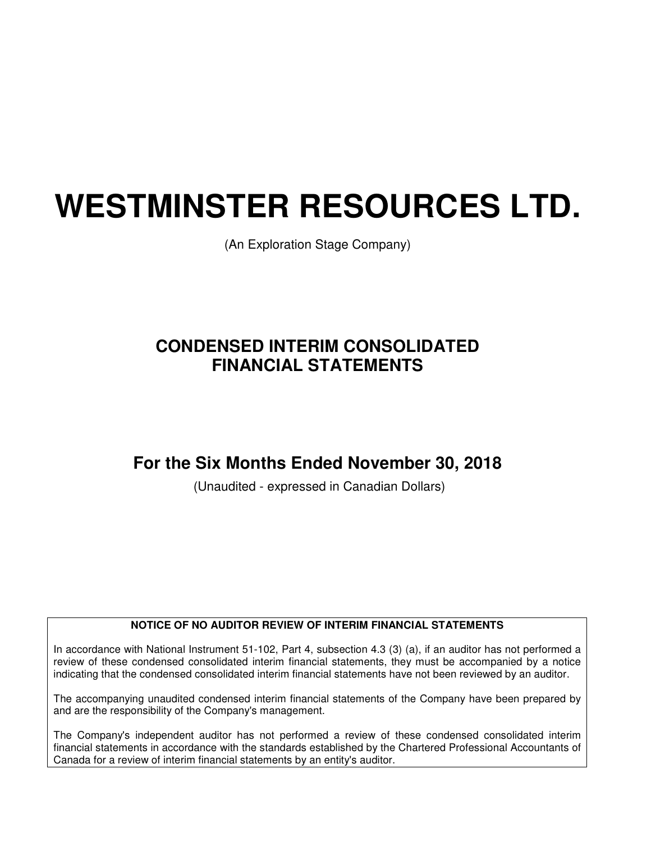# **WESTMINSTER RESOURCES LTD.**

(An Exploration Stage Company)

# **CONDENSED INTERIM CONSOLIDATED FINANCIAL STATEMENTS**

# **For the Six Months Ended November 30, 2018**

(Unaudited - expressed in Canadian Dollars)

## **NOTICE OF NO AUDITOR REVIEW OF INTERIM FINANCIAL STATEMENTS**

In accordance with National Instrument 51-102, Part 4, subsection 4.3 (3) (a), if an auditor has not performed a review of these condensed consolidated interim financial statements, they must be accompanied by a notice indicating that the condensed consolidated interim financial statements have not been reviewed by an auditor.

The accompanying unaudited condensed interim financial statements of the Company have been prepared by and are the responsibility of the Company's management.

The Company's independent auditor has not performed a review of these condensed consolidated interim financial statements in accordance with the standards established by the Chartered Professional Accountants of Canada for a review of interim financial statements by an entity's auditor.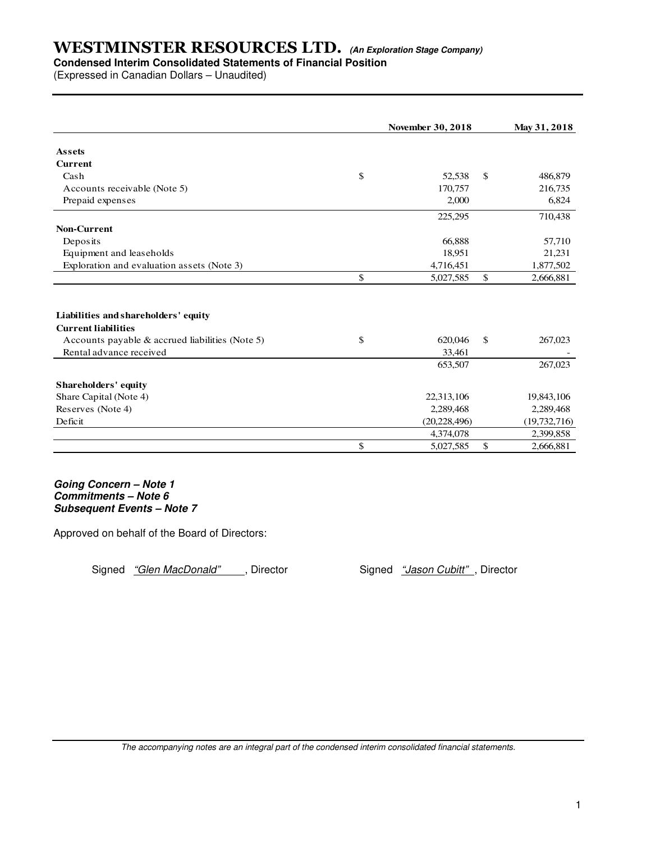# **Condensed Interim Consolidated Statements of Financial Position**

(Expressed in Canadian Dollars – Unaudited)

|                                                 | <b>November 30, 2018</b> |              | May 31, 2018   |
|-------------------------------------------------|--------------------------|--------------|----------------|
| <b>Assets</b>                                   |                          |              |                |
| <b>Current</b>                                  |                          |              |                |
| Cash                                            | \$<br>52,538             | \$           | 486,879        |
| Accounts receivable (Note 5)                    | 170,757                  |              | 216,735        |
| Prepaid expenses                                | 2,000                    |              | 6,824          |
|                                                 | 225,295                  |              | 710,438        |
| <b>Non-Current</b>                              |                          |              |                |
| Deposits                                        | 66,888                   |              | 57,710         |
| Equipment and leaseholds                        | 18,951                   |              | 21,231         |
| Exploration and evaluation assets (Note 3)      | 4,716,451                |              | 1,877,502      |
|                                                 | \$<br>5,027,585          | \$           | 2,666,881      |
|                                                 |                          |              |                |
| Liabilities and shareholders' equity            |                          |              |                |
| <b>Current liabilities</b>                      |                          |              |                |
| Accounts payable & accrued liabilities (Note 5) | \$<br>620,046            | $\mathbb{S}$ | 267,023        |
| Rental advance received                         | 33,461                   |              |                |
|                                                 | 653,507                  |              | 267,023        |
| Shareholders' equity                            |                          |              |                |
| Share Capital (Note 4)                          | 22,313,106               |              | 19,843,106     |
| Reserves (Note 4)                               | 2,289,468                |              | 2,289,468      |
| Deficit                                         | (20, 228, 496)           |              | (19, 732, 716) |
|                                                 | 4,374,078                |              | 2,399,858      |
|                                                 | \$<br>5,027,585          | \$           | 2,666,881      |

**Going Concern – Note 1 Commitments – Note 6 Subsequent Events – Note 7**

Approved on behalf of the Board of Directors:

Signed "Glen MacDonald", Director Signed "Jason Cubitt", Director

The accompanying notes are an integral part of the condensed interim consolidated financial statements.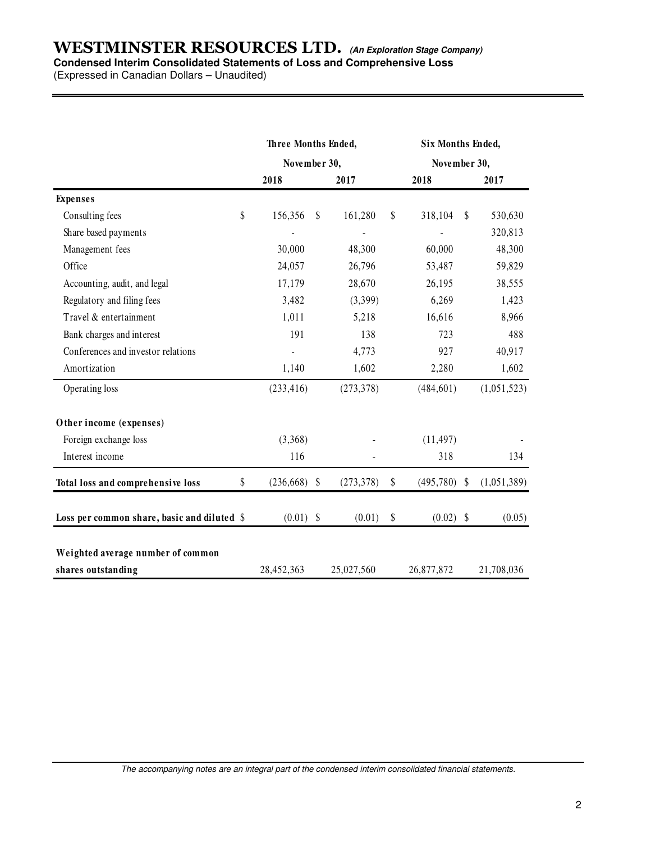## **WESTMINSTER RESOURCES LTD. (An Exploration Stage Company) Condensed Interim Consolidated Statements of Loss and Comprehensive Loss**

(Expressed in Canadian Dollars – Unaudited)

|                                             | Three Months Ended, |    |              |    | Six Months Ended, |    |             |  |
|---------------------------------------------|---------------------|----|--------------|----|-------------------|----|-------------|--|
|                                             | November 30,        |    | November 30, |    |                   |    |             |  |
|                                             | 2018                |    | 2017         |    | 2018              |    | 2017        |  |
| <b>Expenses</b>                             |                     |    |              |    |                   |    |             |  |
| Consulting fees                             | \$<br>156,356       | \$ | 161,280      | \$ | 318,104           | \$ | 530,630     |  |
| Share based payments                        |                     |    |              |    |                   |    | 320,813     |  |
| Management fees                             | 30,000              |    | 48,300       |    | 60,000            |    | 48,300      |  |
| Office                                      | 24,057              |    | 26,796       |    | 53,487            |    | 59,829      |  |
| Accounting, audit, and legal                | 17,179              |    | 28,670       |    | 26,195            |    | 38,555      |  |
| Regulatory and filing fees                  | 3,482               |    | (3,399)      |    | 6,269             |    | 1,423       |  |
| Travel & entertainment                      | 1,011               |    | 5,218        |    | 16,616            |    | 8,966       |  |
| Bank charges and interest                   | 191                 |    | 138          |    | 723               |    | 488         |  |
| Conferences and investor relations          |                     |    | 4,773        |    | 927               |    | 40,917      |  |
| Amortization                                | 1,140               |    | 1,602        |    | 2,280             |    | 1,602       |  |
| Operating loss                              | (233, 416)          |    | (273, 378)   |    | (484, 601)        |    | (1,051,523) |  |
| Other income (expenses)                     |                     |    |              |    |                   |    |             |  |
| Foreign exchange loss                       | (3,368)             |    |              |    | (11, 497)         |    |             |  |
| Interest income                             | 116                 |    |              |    | 318               |    | 134         |  |
| Total loss and comprehensive loss           | \$<br>(236, 668)    | \$ | (273, 378)   | \$ | $(495,780)$ \$    |    | (1,051,389) |  |
| Loss per common share, basic and diluted \$ | (0.01)              | \$ | (0.01)       | \$ | $(0.02)$ \$       |    | (0.05)      |  |
| Weighted average number of common           |                     |    |              |    |                   |    |             |  |
| shares outstanding                          | 28,452,363          |    | 25,027,560   |    | 26,877,872        |    | 21,708,036  |  |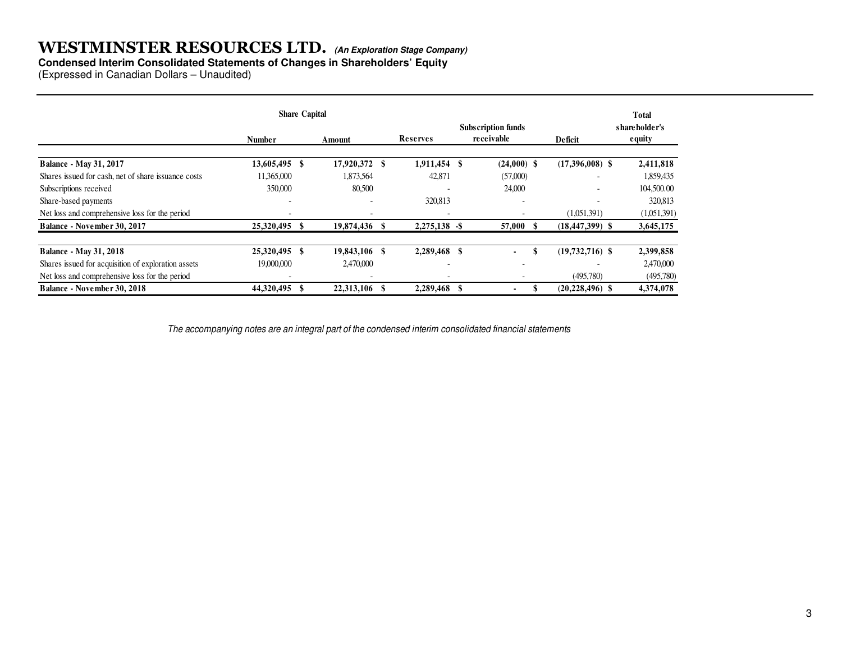## **Condensed Interim Consolidated Statements of Changes in Shareholders' Equity**

(Expressed in Canadian Dollars – Unaudited)

|                                                     |               | <b>Share Capital</b> |      |                          |    |                                         |                          | <b>Total</b>                    |
|-----------------------------------------------------|---------------|----------------------|------|--------------------------|----|-----------------------------------------|--------------------------|---------------------------------|
|                                                     | Number        | Amount               |      | Reserves                 |    | <b>Subscription funds</b><br>receivable | Deficit                  | shareholder's<br><b>e</b> quity |
| <b>Balance - May 31, 2017</b>                       | 13,605,495 \$ | 17,920,372           | - \$ | 1,911,454                | -S | $(24,000)$ \$                           | $(17,396,008)$ \$        | 2,411,818                       |
| Shares issued for cash, net of share issuance costs | 11,365,000    | 1,873,564            |      | 42,871                   |    | (57,000)                                | $\overline{\phantom{a}}$ | 1,859,435                       |
| Subscriptions received                              | 350,000       | 80,500               |      |                          |    | 24,000                                  |                          | 104,500.00                      |
| Share-based payments                                |               |                      |      | 320,813                  |    | $\overline{\phantom{a}}$                |                          | 320,813                         |
| Net loss and comprehensive loss for the period      |               |                      |      |                          |    |                                         | (1,051,391)              | (1,051,391)                     |
| Balance - November 30, 2017                         | 25,320,495 \$ | 19,874,436           |      | $2,275,138$ -\$          |    | 57,000                                  | $(18, 447, 399)$ \$      | 3,645,175                       |
| <b>Balance - May 31, 2018</b>                       | 25,320,495 \$ | 19,843,106 \$        |      | 2,289,468                |    | ٠                                       | $(19,732,716)$ \$        | 2,399,858                       |
| Shares issued for acquisition of exploration assets | 19,000,000    | 2,470,000            |      | $\overline{\phantom{0}}$ |    | $\overline{\phantom{0}}$                |                          | 2,470,000                       |
| Net loss and comprehensive loss for the period      |               |                      |      |                          |    |                                         | (495,780)                | (495,780)                       |
| <b>Balance - November 30, 2018</b>                  | 44,320,495    | 22,313,106           |      | 2,289,468                |    |                                         | $(20, 228, 496)$ \$      | 4,374,078                       |

The accompanying notes are an integral part of the condensed interim consolidated financial statements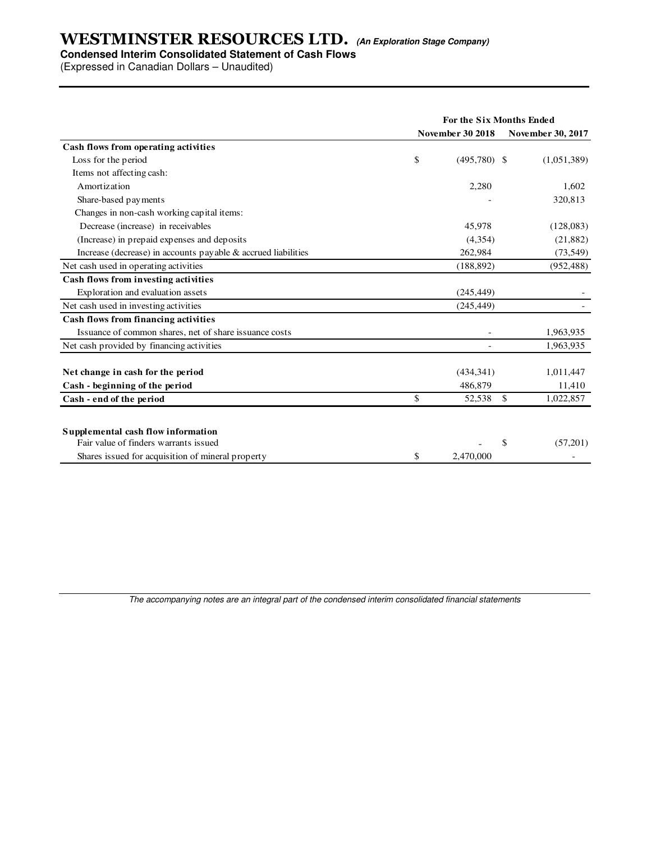#### **Condensed Interim Consolidated Statement of Cash Flows**

(Expressed in Canadian Dollars – Unaudited)

|                                                                  | <b>For the Six Months Ended</b> |                         |                            |  |  |
|------------------------------------------------------------------|---------------------------------|-------------------------|----------------------------|--|--|
|                                                                  |                                 | <b>November 30 2018</b> | <b>November 30, 2017</b>   |  |  |
| Cash flows from operating activities                             |                                 |                         |                            |  |  |
| Loss for the period                                              | \$                              | $(495,780)$ \$          | (1,051,389)                |  |  |
| Items not affecting cash:                                        |                                 |                         |                            |  |  |
| Amortization                                                     |                                 | 2,280                   | 1,602                      |  |  |
| Share-based payments                                             |                                 |                         | 320,813                    |  |  |
| Changes in non-cash working capital items:                       |                                 |                         |                            |  |  |
| Decrease (increase) in receivables                               |                                 | 45,978                  | (128,083)                  |  |  |
| (Increase) in prepaid expenses and deposits                      |                                 | (4,354)                 | (21, 882)                  |  |  |
| Increase (decrease) in accounts payable $\&$ accrued liabilities |                                 | 262,984                 | (73, 549)                  |  |  |
| Net cash used in operating activities                            |                                 | (188, 892)              | (952, 488)                 |  |  |
| Cash flows from investing activities                             |                                 |                         |                            |  |  |
| Exploration and evaluation assets                                |                                 | (245, 449)              |                            |  |  |
| Net cash used in investing activities                            |                                 | (245, 449)              |                            |  |  |
| <b>Cash flows from financing activities</b>                      |                                 |                         |                            |  |  |
| Issuance of common shares, net of share issuance costs           |                                 |                         | 1,963,935                  |  |  |
| Net cash provided by financing activities                        |                                 |                         | 1,963,935                  |  |  |
| Net change in cash for the period                                |                                 | (434, 341)              | 1,011,447                  |  |  |
| Cash - beginning of the period                                   |                                 | 486,879                 | 11,410                     |  |  |
| Cash - end of the period                                         | \$                              | 52,538                  | <sup>\$</sup><br>1,022,857 |  |  |
| Supplemental cash flow information                               |                                 |                         |                            |  |  |
| Fair value of finders warrants issued                            |                                 |                         | \$<br>(57,201)             |  |  |
| Shares issued for acquisition of mineral property                | \$                              | 2,470,000               |                            |  |  |

The accompanying notes are an integral part of the condensed interim consolidated financial statements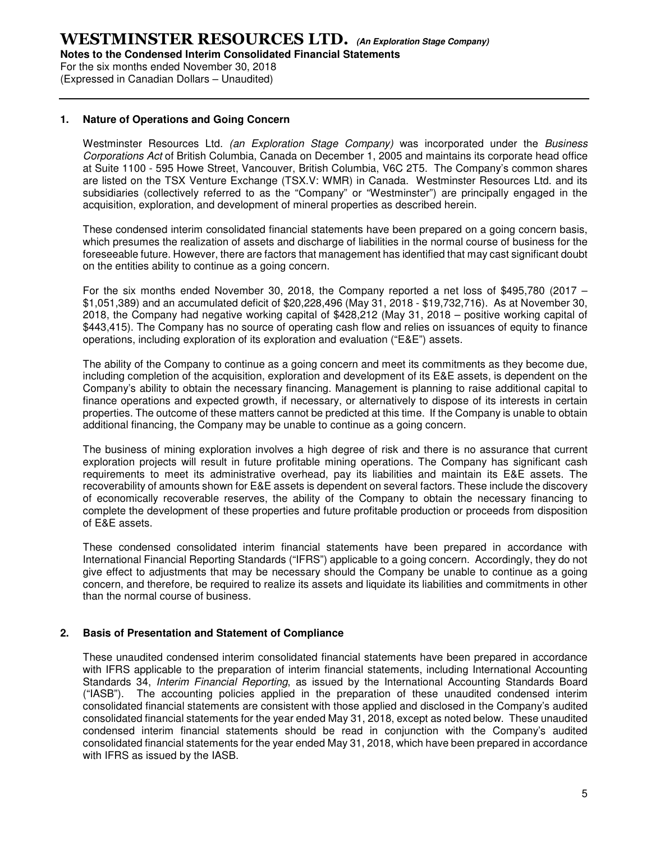For the six months ended November 30, 2018 (Expressed in Canadian Dollars – Unaudited)

#### **1. Nature of Operations and Going Concern**

Westminster Resources Ltd. (an Exploration Stage Company) was incorporated under the Business Corporations Act of British Columbia, Canada on December 1, 2005 and maintains its corporate head office at Suite 1100 - 595 Howe Street, Vancouver, British Columbia, V6C 2T5. The Company's common shares are listed on the TSX Venture Exchange (TSX.V: WMR) in Canada. Westminster Resources Ltd. and its subsidiaries (collectively referred to as the "Company" or "Westminster") are principally engaged in the acquisition, exploration, and development of mineral properties as described herein.

These condensed interim consolidated financial statements have been prepared on a going concern basis, which presumes the realization of assets and discharge of liabilities in the normal course of business for the foreseeable future. However, there are factors that management has identified that may cast significant doubt on the entities ability to continue as a going concern.

For the six months ended November 30, 2018, the Company reported a net loss of \$495,780 (2017 – \$1,051,389) and an accumulated deficit of \$20,228,496 (May 31, 2018 - \$19,732,716). As at November 30, 2018, the Company had negative working capital of \$428,212 (May 31, 2018 – positive working capital of \$443,415). The Company has no source of operating cash flow and relies on issuances of equity to finance operations, including exploration of its exploration and evaluation ("E&E") assets.

The ability of the Company to continue as a going concern and meet its commitments as they become due, including completion of the acquisition, exploration and development of its E&E assets, is dependent on the Company's ability to obtain the necessary financing. Management is planning to raise additional capital to finance operations and expected growth, if necessary, or alternatively to dispose of its interests in certain properties. The outcome of these matters cannot be predicted at this time. If the Company is unable to obtain additional financing, the Company may be unable to continue as a going concern.

The business of mining exploration involves a high degree of risk and there is no assurance that current exploration projects will result in future profitable mining operations. The Company has significant cash requirements to meet its administrative overhead, pay its liabilities and maintain its E&E assets. The recoverability of amounts shown for E&E assets is dependent on several factors. These include the discovery of economically recoverable reserves, the ability of the Company to obtain the necessary financing to complete the development of these properties and future profitable production or proceeds from disposition of E&E assets.

These condensed consolidated interim financial statements have been prepared in accordance with International Financial Reporting Standards ("IFRS") applicable to a going concern. Accordingly, they do not give effect to adjustments that may be necessary should the Company be unable to continue as a going concern, and therefore, be required to realize its assets and liquidate its liabilities and commitments in other than the normal course of business.

#### **2. Basis of Presentation and Statement of Compliance**

These unaudited condensed interim consolidated financial statements have been prepared in accordance with IFRS applicable to the preparation of interim financial statements, including International Accounting Standards 34, Interim Financial Reporting, as issued by the International Accounting Standards Board ("IASB"). The accounting policies applied in the preparation of these unaudited condensed interim consolidated financial statements are consistent with those applied and disclosed in the Company's audited consolidated financial statements for the year ended May 31, 2018, except as noted below. These unaudited condensed interim financial statements should be read in conjunction with the Company's audited consolidated financial statements for the year ended May 31, 2018, which have been prepared in accordance with IFRS as issued by the IASB.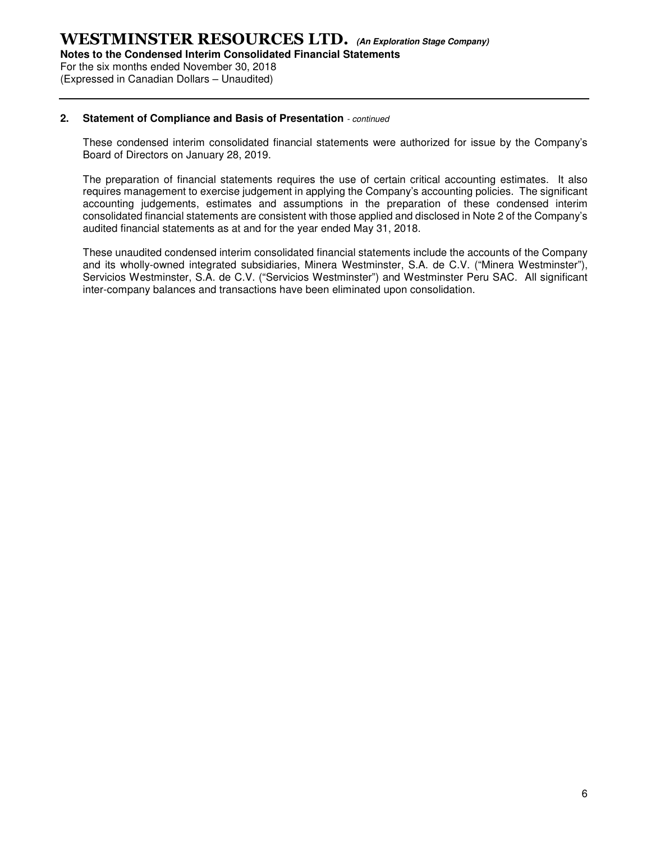For the six months ended November 30, 2018 (Expressed in Canadian Dollars – Unaudited)

#### **2. Statement of Compliance and Basis of Presentation** - continued

These condensed interim consolidated financial statements were authorized for issue by the Company's Board of Directors on January 28, 2019.

The preparation of financial statements requires the use of certain critical accounting estimates. It also requires management to exercise judgement in applying the Company's accounting policies. The significant accounting judgements, estimates and assumptions in the preparation of these condensed interim consolidated financial statements are consistent with those applied and disclosed in Note 2 of the Company's audited financial statements as at and for the year ended May 31, 2018.

These unaudited condensed interim consolidated financial statements include the accounts of the Company and its wholly-owned integrated subsidiaries, Minera Westminster, S.A. de C.V. ("Minera Westminster"), Servicios Westminster, S.A. de C.V. ("Servicios Westminster") and Westminster Peru SAC. All significant inter-company balances and transactions have been eliminated upon consolidation.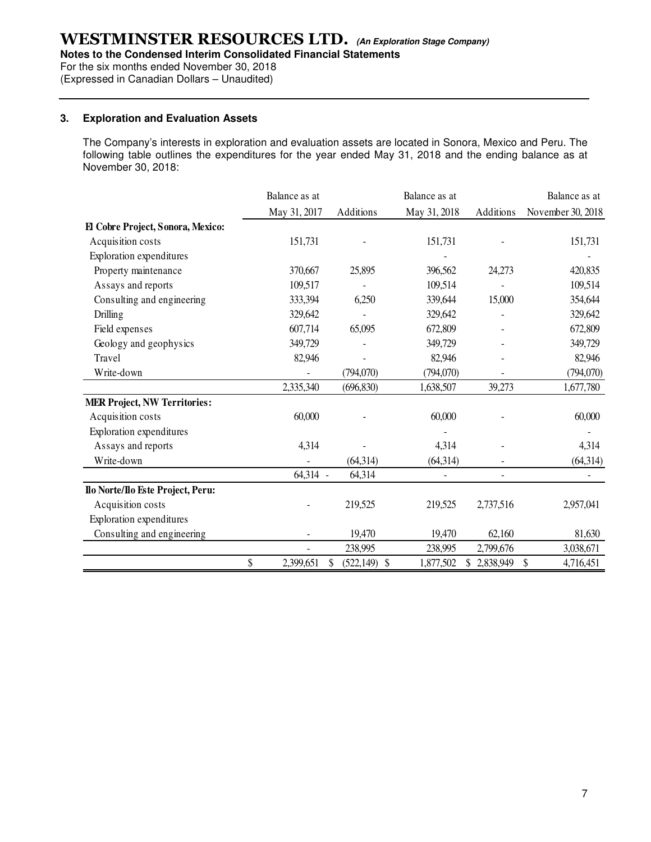**Notes to the Condensed Interim Consolidated Financial Statements** 

For the six months ended November 30, 2018

(Expressed in Canadian Dollars – Unaudited)

#### **3. Exploration and Evaluation Assets**

The Company's interests in exploration and evaluation assets are located in Sonora, Mexico and Peru. The following table outlines the expenditures for the year ended May 31, 2018 and the ending balance as at November 30, 2018:

|                                     | Balance as at   |                       | Balance as at            |                          | Balance as at     |
|-------------------------------------|-----------------|-----------------------|--------------------------|--------------------------|-------------------|
|                                     | May 31, 2017    | Additions             | May 31, 2018             | Additions                | November 30, 2018 |
| El Cobre Project, Sonora, Mexico:   |                 |                       |                          |                          |                   |
| Acquisition costs                   | 151,731         |                       | 151,731                  |                          | 151,731           |
| Exploration expenditures            |                 |                       |                          |                          |                   |
| Property maintenance                | 370,667         | 25,895                | 396,562                  | 24,273                   | 420,835           |
| Assays and reports                  | 109,517         |                       | 109,514                  |                          | 109,514           |
| Consulting and engineering          | 333,394         | 6,250                 | 339,644                  | 15,000                   | 354,644           |
| Drilling                            | 329,642         |                       | 329,642                  |                          | 329,642           |
| Field expenses                      | 607,714         | 65,095                | 672,809                  |                          | 672,809           |
| Geology and geophysics              | 349,729         |                       | 349,729                  |                          | 349,729           |
| Travel                              | 82,946          |                       | 82,946                   |                          | 82,946            |
| Write-down                          |                 | (794,070)             | (794,070)                | $\overline{\phantom{a}}$ | (794,070)         |
|                                     | 2,335,340       | (696, 830)            | 1,638,507                | 39,273                   | 1,677,780         |
| <b>MER Project, NW Territories:</b> |                 |                       |                          |                          |                   |
| Acquisition costs                   | 60,000          |                       | 60,000                   |                          | 60,000            |
| Exploration expenditures            |                 |                       |                          |                          |                   |
| Assays and reports                  | 4,314           |                       | 4,314                    |                          | 4,314             |
| Write-down                          |                 | (64,314)              | (64, 314)                |                          | (64, 314)         |
|                                     | 64,314 -        | 64,314                | $\overline{\phantom{a}}$ | $\overline{\phantom{a}}$ |                   |
| Ilo Norte/Ilo Este Project, Peru:   |                 |                       |                          |                          |                   |
| Acquisition costs                   |                 | 219,525               | 219,525                  | 2,737,516                | 2,957,041         |
| Exploration expenditures            |                 |                       |                          |                          |                   |
| Consulting and engineering          |                 | 19,470                | 19,470                   | 62,160                   | 81,630            |
|                                     |                 | 238,995               | 238,995                  | 2,799,676                | 3,038,671         |
|                                     | \$<br>2,399,651 | $(522, 149)$ \$<br>\$ | 1,877,502                | 2,838,949<br>S           | \$<br>4,716,451   |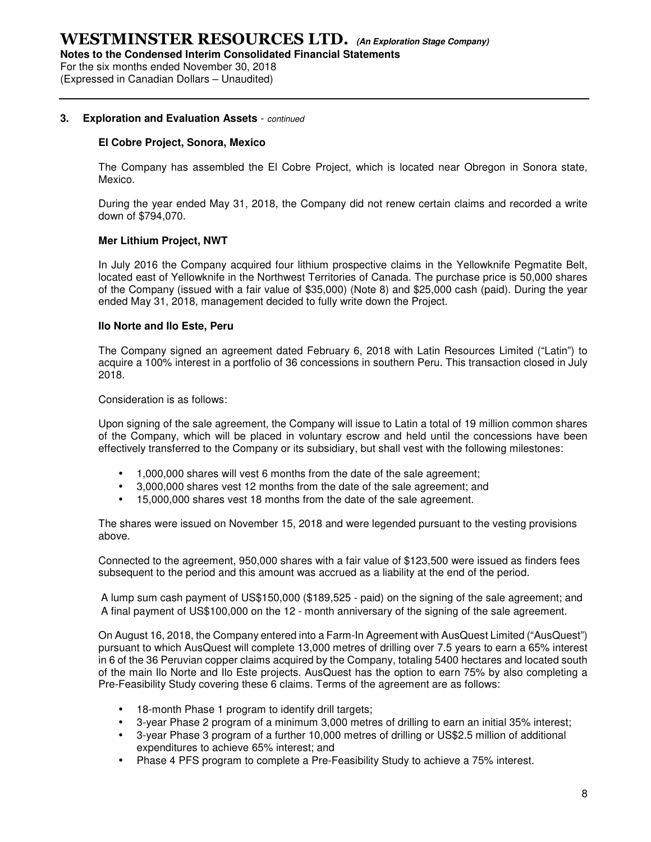For the six months ended November 30, 2018 (Expressed in Canadian Dollars – Unaudited)

#### **3. Exploration and Evaluation Assets** - continued

#### **El Cobre Project, Sonora, Mexico**

The Company has assembled the El Cobre Project, which is located near Obregon in Sonora state, Mexico.

During the year ended May 31, 2018, the Company did not renew certain claims and recorded a write down of \$794,070.

#### **Mer Lithium Project, NWT**

In July 2016 the Company acquired four lithium prospective claims in the Yellowknife Pegmatite Belt, located east of Yellowknife in the Northwest Territories of Canada. The purchase price is 50,000 shares of the Company (issued with a fair value of \$35,000) (Note 8) and \$25,000 cash (paid). During the year ended May 31, 2018, management decided to fully write down the Project.

#### **Ilo Norte and Ilo Este, Peru**

The Company signed an agreement dated February 6, 2018 with Latin Resources Limited ("Latin") to acquire a 100% interest in a portfolio of 36 concessions in southern Peru. This transaction closed in July 2018.

Consideration is as follows:

Upon signing of the sale agreement, the Company will issue to Latin a total of 19 million common shares of the Company, which will be placed in voluntary escrow and held until the concessions have been effectively transferred to the Company or its subsidiary, but shall vest with the following milestones:

- 1,000,000 shares will vest 6 months from the date of the sale agreement;
- 3,000,000 shares vest 12 months from the date of the sale agreement; and
- 15,000,000 shares vest 18 months from the date of the sale agreement.

The shares were issued on November 15, 2018 and were legended pursuant to the vesting provisions above.

Connected to the agreement, 950,000 shares with a fair value of \$123,500 were issued as finders fees subsequent to the period and this amount was accrued as a liability at the end of the period.

A lump sum cash payment of US\$150,000 (\$189,525 - paid) on the signing of the sale agreement; and A final payment of US\$100,000 on the 12 - month anniversary of the signing of the sale agreement.

On August 16, 2018, the Company entered into a Farm-In Agreement with AusQuest Limited ("AusQuest") pursuant to which AusQuest will complete 13,000 metres of drilling over 7.5 years to earn a 65% interest in 6 of the 36 Peruvian copper claims acquired by the Company, totaling 5400 hectares and located south of the main Ilo Norte and Ilo Este projects. AusQuest has the option to earn 75% by also completing a Pre-Feasibility Study covering these 6 claims. Terms of the agreement are as follows:

- 18-month Phase 1 program to identify drill targets;
- 3-year Phase 2 program of a minimum 3,000 metres of drilling to earn an initial 35% interest;
- 3-year Phase 3 program of a further 10,000 metres of drilling or US\$2.5 million of additional expenditures to achieve 65% interest; and
- Phase 4 PFS program to complete a Pre-Feasibility Study to achieve a 75% interest.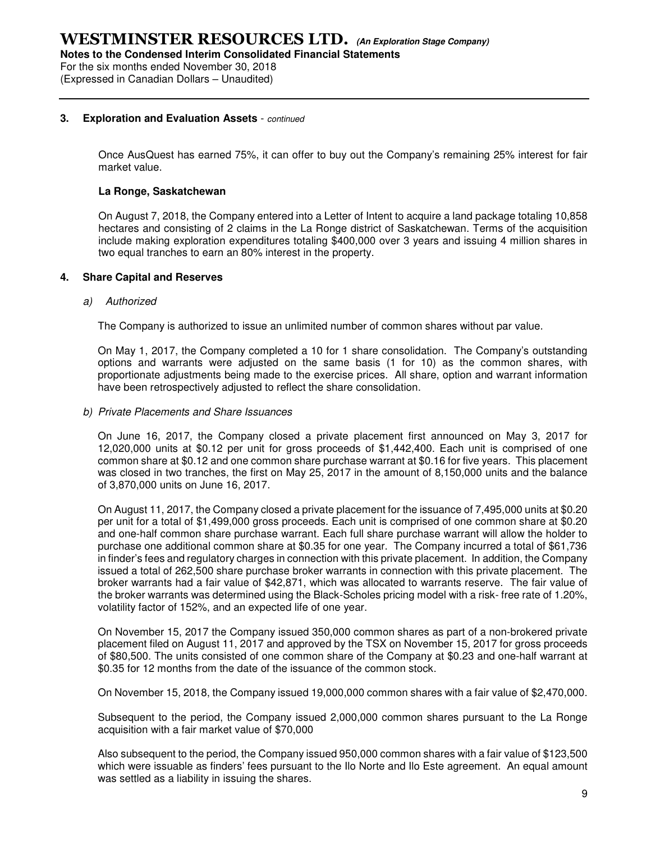For the six months ended November 30, 2018 (Expressed in Canadian Dollars – Unaudited)

#### **3. Exploration and Evaluation Assets** - continued

Once AusQuest has earned 75%, it can offer to buy out the Company's remaining 25% interest for fair market value.

#### **La Ronge, Saskatchewan**

On August 7, 2018, the Company entered into a Letter of Intent to acquire a land package totaling 10,858 hectares and consisting of 2 claims in the La Ronge district of Saskatchewan. Terms of the acquisition include making exploration expenditures totaling \$400,000 over 3 years and issuing 4 million shares in two equal tranches to earn an 80% interest in the property.

#### **4. Share Capital and Reserves**

#### a) Authorized

The Company is authorized to issue an unlimited number of common shares without par value.

On May 1, 2017, the Company completed a 10 for 1 share consolidation. The Company's outstanding options and warrants were adjusted on the same basis (1 for 10) as the common shares, with proportionate adjustments being made to the exercise prices. All share, option and warrant information have been retrospectively adjusted to reflect the share consolidation.

b) Private Placements and Share Issuances

On June 16, 2017, the Company closed a private placement first announced on May 3, 2017 for 12,020,000 units at \$0.12 per unit for gross proceeds of \$1,442,400. Each unit is comprised of one common share at \$0.12 and one common share purchase warrant at \$0.16 for five years. This placement was closed in two tranches, the first on May 25, 2017 in the amount of 8,150,000 units and the balance of 3,870,000 units on June 16, 2017.

On August 11, 2017, the Company closed a private placement for the issuance of 7,495,000 units at \$0.20 per unit for a total of \$1,499,000 gross proceeds. Each unit is comprised of one common share at \$0.20 and one-half common share purchase warrant. Each full share purchase warrant will allow the holder to purchase one additional common share at \$0.35 for one year. The Company incurred a total of \$61,736 in finder's fees and regulatory charges in connection with this private placement. In addition, the Company issued a total of 262,500 share purchase broker warrants in connection with this private placement. The broker warrants had a fair value of \$42,871, which was allocated to warrants reserve. The fair value of the broker warrants was determined using the Black-Scholes pricing model with a risk- free rate of 1.20%, volatility factor of 152%, and an expected life of one year.

On November 15, 2017 the Company issued 350,000 common shares as part of a non-brokered private placement filed on August 11, 2017 and approved by the TSX on November 15, 2017 for gross proceeds of \$80,500. The units consisted of one common share of the Company at \$0.23 and one-half warrant at \$0.35 for 12 months from the date of the issuance of the common stock.

On November 15, 2018, the Company issued 19,000,000 common shares with a fair value of \$2,470,000.

Subsequent to the period, the Company issued 2,000,000 common shares pursuant to the La Ronge acquisition with a fair market value of \$70,000

Also subsequent to the period, the Company issued 950,000 common shares with a fair value of \$123,500 which were issuable as finders' fees pursuant to the Ilo Norte and Ilo Este agreement. An equal amount was settled as a liability in issuing the shares.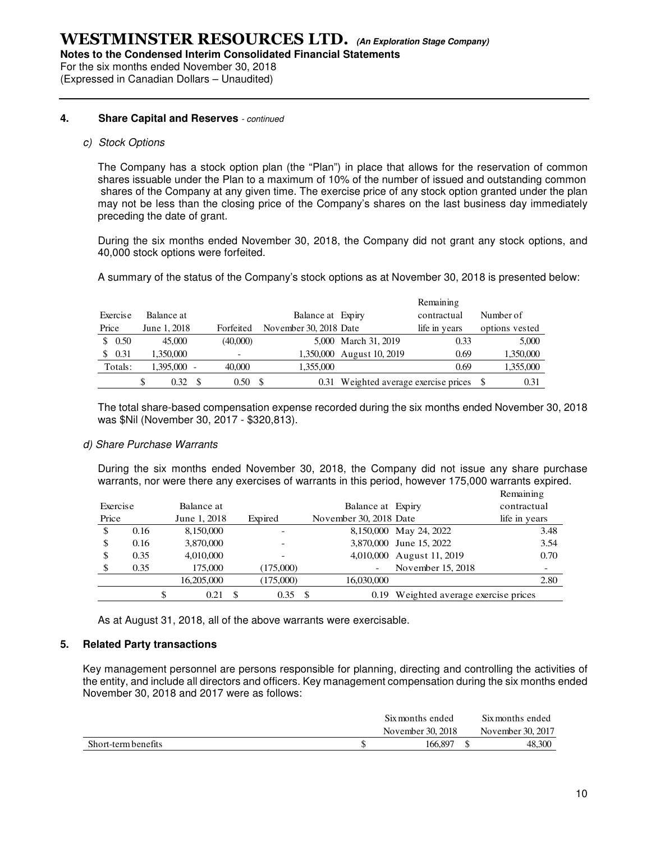**Notes to the Condensed Interim Consolidated Financial Statements** 

For the six months ended November 30, 2018 (Expressed in Canadian Dollars – Unaudited)

#### **4. Share Capital and Reserves** - continued

#### c) Stock Options

The Company has a stock option plan (the "Plan") in place that allows for the reservation of common shares issuable under the Plan to a maximum of 10% of the number of issued and outstanding common shares of the Company at any given time. The exercise price of any stock option granted under the plan may not be less than the closing price of the Company's shares on the last business day immediately preceding the date of grant.

During the six months ended November 30, 2018, the Company did not grant any stock options, and 40,000 stock options were forfeited.

A summary of the status of the Company's stock options as at November 30, 2018 is presented below:

|       |          |              |           |                        |                                       | Remaining     |                |
|-------|----------|--------------|-----------|------------------------|---------------------------------------|---------------|----------------|
|       | Exercise | Balance at   |           | Balance at Expiry      |                                       | contractual   | Number of      |
| Price |          | June 1, 2018 | Forfeited | November 30, 2018 Date |                                       | life in years | options vested |
|       | \$0.50   | 45,000       | (40,000)  |                        | 5,000 March 31, 2019                  | 0.33          | 5.000          |
|       | \$0.31   | 1,350,000    |           |                        | 1,350,000 August 10, 2019             | 0.69          | 1,350,000      |
|       | Totals:  | 1,395,000    | 40,000    | 1,355,000              |                                       | 0.69          | 1,355,000      |
|       |          | 0.32         | 0.50      |                        | 0.31 Weighted average exercise prices |               | 0.31           |

The total share-based compensation expense recorded during the six months ended November 30, 2018 was \$Nil (November 30, 2017 - \$320,813).

#### d) Share Purchase Warrants

During the six months ended November 30, 2018, the Company did not issue any share purchase warrants, nor were there any exercises of warrants in this period, however 175,000 warrants expired.

|          |      |   |              |     |           |                        |                                       | Remaining                |
|----------|------|---|--------------|-----|-----------|------------------------|---------------------------------------|--------------------------|
| Exercise |      |   | Balance at   |     |           | Balance at Expiry      |                                       | contractual              |
| Price    |      |   | June 1, 2018 |     | Expired   | November 30, 2018 Date |                                       | life in years            |
| \$       | 0.16 |   | 8,150,000    |     |           |                        | 8,150,000 May 24, 2022                | 3.48                     |
| \$       | 0.16 |   | 3,870,000    |     |           |                        | 3,870,000 June 15, 2022               | 3.54                     |
| \$       | 0.35 |   | 4,010,000    |     |           |                        | 4,010,000 August 11, 2019             | 0.70                     |
|          | 0.35 |   | 175,000      |     | (175,000) |                        | November 15, 2018                     | $\overline{\phantom{0}}$ |
|          |      |   | 16,205,000   |     | (175,000) | 16,030,000             |                                       | 2.80                     |
|          |      | S | 0.21         | \$. | 0.35      | - \$                   | 0.19 Weighted average exercise prices |                          |

As at August 31, 2018, all of the above warrants were exercisable.

#### **5. Related Party transactions**

Key management personnel are persons responsible for planning, directing and controlling the activities of the entity, and include all directors and officers. Key management compensation during the six months ended November 30, 2018 and 2017 were as follows:

|                     | Six months ended  | Six months ended  |
|---------------------|-------------------|-------------------|
|                     | November 30, 2018 | November 30, 2017 |
| Short-term benefits | 166.897           | 48.300            |